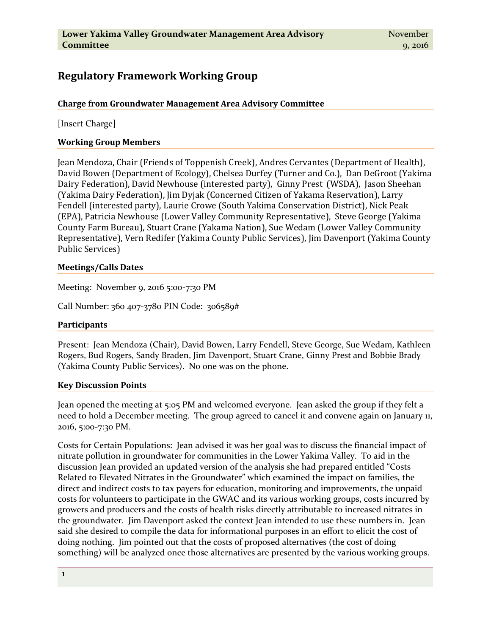# **Regulatory Framework Working Group**

## **Charge from Groundwater Management Area Advisory Committee**

[Insert Charge]

### **Working Group Members**

Jean Mendoza, Chair (Friends of Toppenish Creek), Andres Cervantes (Department of Health), David Bowen (Department of Ecology), Chelsea Durfey (Turner and Co.), Dan DeGroot (Yakima Dairy Federation), David Newhouse (interested party), Ginny Prest (WSDA), Jason Sheehan (Yakima Dairy Federation), Jim Dyjak (Concerned Citizen of Yakama Reservation), Larry Fendell (interested party), Laurie Crowe (South Yakima Conservation District), Nick Peak (EPA), Patricia Newhouse (Lower Valley Community Representative), Steve George (Yakima County Farm Bureau), Stuart Crane (Yakama Nation), Sue Wedam (Lower Valley Community Representative), Vern Redifer (Yakima County Public Services), Jim Davenport (Yakima County Public Services)

#### **Meetings/Calls Dates**

Meeting: November 9, 2016 5:00-7:30 PM

Call Number: 360 407-3780 PIN Code: 306589#

#### **Participants**

Present: Jean Mendoza (Chair), David Bowen, Larry Fendell, Steve George, Sue Wedam, Kathleen Rogers, Bud Rogers, Sandy Braden, Jim Davenport, Stuart Crane, Ginny Prest and Bobbie Brady (Yakima County Public Services). No one was on the phone.

#### **Key Discussion Points**

Jean opened the meeting at 5:05 PM and welcomed everyone. Jean asked the group if they felt a need to hold a December meeting. The group agreed to cancel it and convene again on January 11, 2016, 5:00-7:30 PM.

Costs for Certain Populations: Jean advised it was her goal was to discuss the financial impact of nitrate pollution in groundwater for communities in the Lower Yakima Valley. To aid in the discussion Jean provided an updated version of the analysis she had prepared entitled "Costs Related to Elevated Nitrates in the Groundwater" which examined the impact on families, the direct and indirect costs to tax payers for education, monitoring and improvements, the unpaid costs for volunteers to participate in the GWAC and its various working groups, costs incurred by growers and producers and the costs of health risks directly attributable to increased nitrates in the groundwater. Jim Davenport asked the context Jean intended to use these numbers in. Jean said she desired to compile the data for informational purposes in an effort to elicit the cost of doing nothing. Jim pointed out that the costs of proposed alternatives (the cost of doing something) will be analyzed once those alternatives are presented by the various working groups.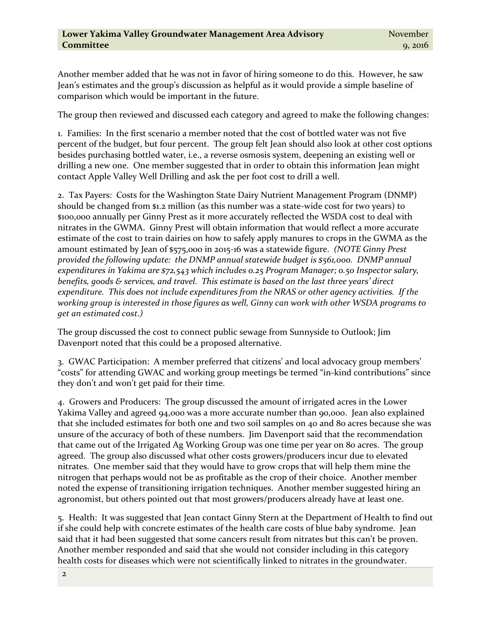Another member added that he was not in favor of hiring someone to do this. However, he saw Jean's estimates and the group's discussion as helpful as it would provide a simple baseline of comparison which would be important in the future.

The group then reviewed and discussed each category and agreed to make the following changes:

1. Families: In the first scenario a member noted that the cost of bottled water was not five percent of the budget, but four percent. The group felt Jean should also look at other cost options besides purchasing bottled water, i.e., a reverse osmosis system, deepening an existing well or drilling a new one. One member suggested that in order to obtain this information Jean might contact Apple Valley Well Drilling and ask the per foot cost to drill a well.

2. Tax Payers: Costs for the Washington State Dairy Nutrient Management Program (DNMP) should be changed from \$1.2 million (as this number was a state-wide cost for two years) to \$100,000 annually per Ginny Prest as it more accurately reflected the WSDA cost to deal with nitrates in the GWMA. Ginny Prest will obtain information that would reflect a more accurate estimate of the cost to train dairies on how to safely apply manures to crops in the GWMA as the amount estimated by Jean of \$575,000 in 2015-16 was a statewide figure. *(NOTE Ginny Prest provided the following update: the DNMP annual statewide budget is \$561,000. DNMP annual expenditures in Yakima are \$72,543 which includes 0.25 Program Manager; 0.50 Inspector salary, benefits, goods & services, and travel. This estimate is based on the last three years' direct expenditure. This does not include expenditures from the NRAS or other agency activities. If the working group is interested in those figures as well, Ginny can work with other WSDA programs to get an estimated cost.)*

The group discussed the cost to connect public sewage from Sunnyside to Outlook; Jim Davenport noted that this could be a proposed alternative.

3. GWAC Participation: A member preferred that citizens' and local advocacy group members' "costs" for attending GWAC and working group meetings be termed "in-kind contributions" since they don't and won't get paid for their time.

4. Growers and Producers: The group discussed the amount of irrigated acres in the Lower Yakima Valley and agreed 94,000 was a more accurate number than 90,000. Jean also explained that she included estimates for both one and two soil samples on 40 and 80 acres because she was unsure of the accuracy of both of these numbers. Jim Davenport said that the recommendation that came out of the Irrigated Ag Working Group was one time per year on 80 acres. The group agreed. The group also discussed what other costs growers/producers incur due to elevated nitrates. One member said that they would have to grow crops that will help them mine the nitrogen that perhaps would not be as profitable as the crop of their choice. Another member noted the expense of transitioning irrigation techniques. Another member suggested hiring an agronomist, but others pointed out that most growers/producers already have at least one.

5. Health: It was suggested that Jean contact Ginny Stern at the Department of Health to find out if she could help with concrete estimates of the health care costs of blue baby syndrome. Jean said that it had been suggested that some cancers result from nitrates but this can't be proven. Another member responded and said that she would not consider including in this category health costs for diseases which were not scientifically linked to nitrates in the groundwater.